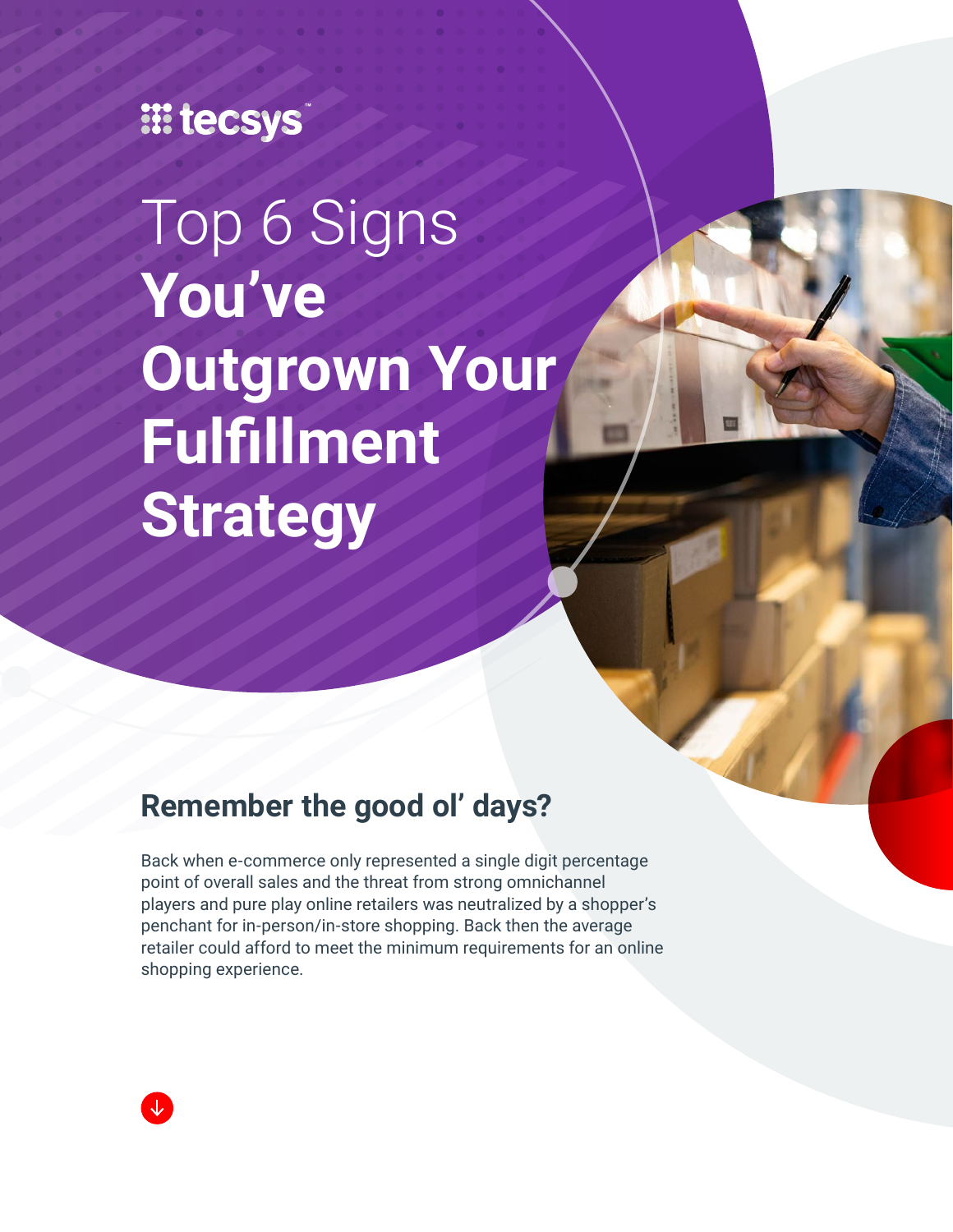## **III tecsys**

Top 6 Signs **You've Outgrown Your Fulfillment Strategy**

## **Remember the good ol' days?**

Back when e-commerce only represented a single digit percentage point of overall sales and the threat from strong omnichannel players and pure play online retailers was neutralized by a shopper's penchant for in-person/in-store shopping. Back then the average retailer could afford to meet the minimum requirements for an online shopping experience.

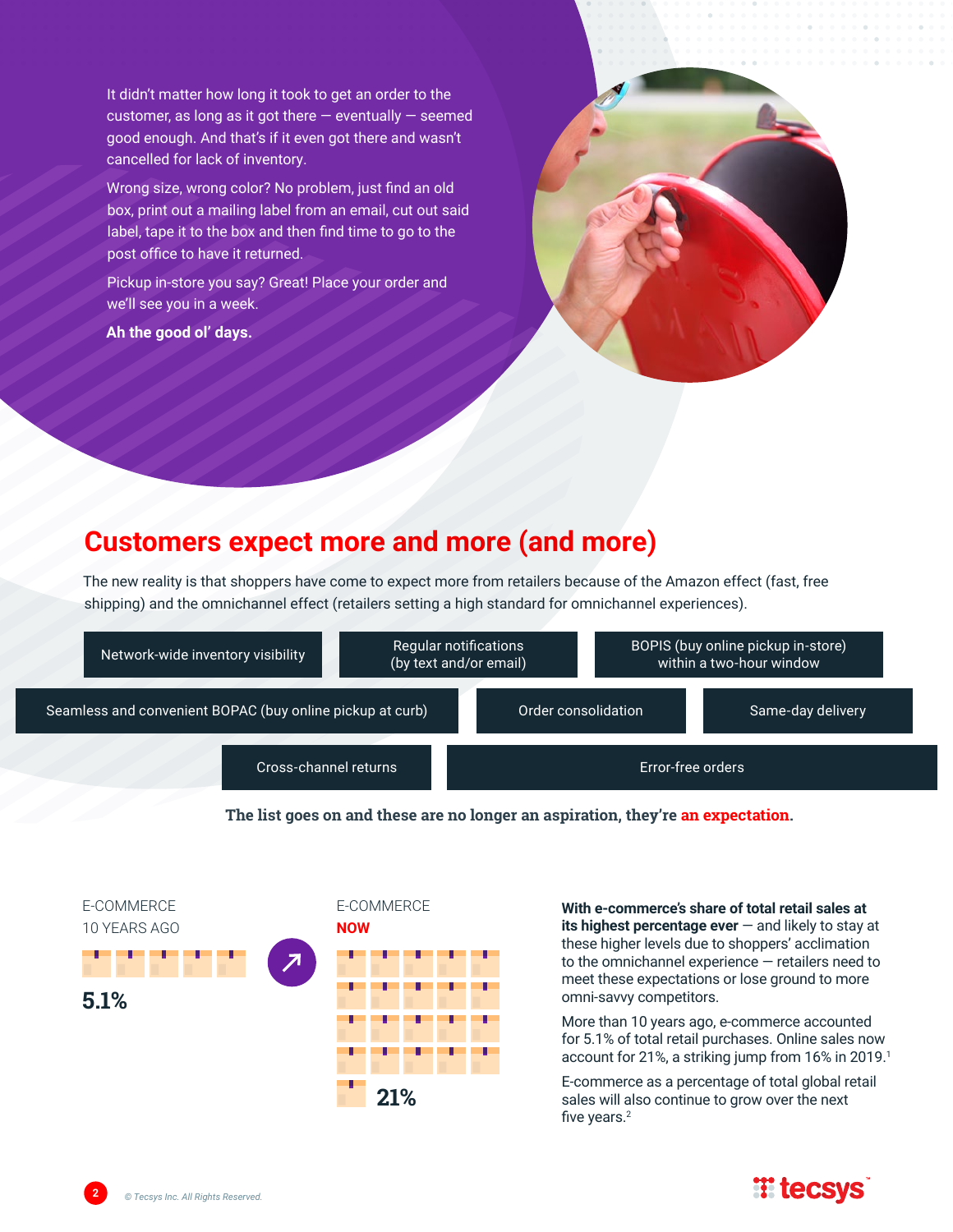It didn't matter how long it took to get an order to the customer, as long as it got there  $-$  eventually  $-$  seemed good enough. And that's if it even got there and wasn't cancelled for lack of inventory.

Wrong size, wrong color? No problem, just find an old box, print out a mailing label from an email, cut out said label, tape it to the box and then find time to go to the post office to have it returned.

Pickup in-store you say? Great! Place your order and we'll see you in a week.

**Ah the good ol' days.**



### **Customers expect more and more (and more)**

The new reality is that shoppers have come to expect more from retailers because of the Amazon effect (fast, free shipping) and the omnichannel effect (retailers setting a high standard for omnichannel experiences).



**The list goes on and these are no longer an aspiration, they're an expectation.**



**With e-commerce's share of total retail sales at its highest percentage ever** — and likely to stay at these higher levels due to shoppers' acclimation to the omnichannel experience — retailers need to meet these expectations or lose ground to more omni-savvy competitors.

More than 10 years ago, e-commerce accounted for 5.1% of total retail purchases. Online sales now account for 21%, a striking jump from 16% in 2019.1

E-commerce as a percentage of total global retail sales will also continue to grow over the next five years.<sup>2</sup>



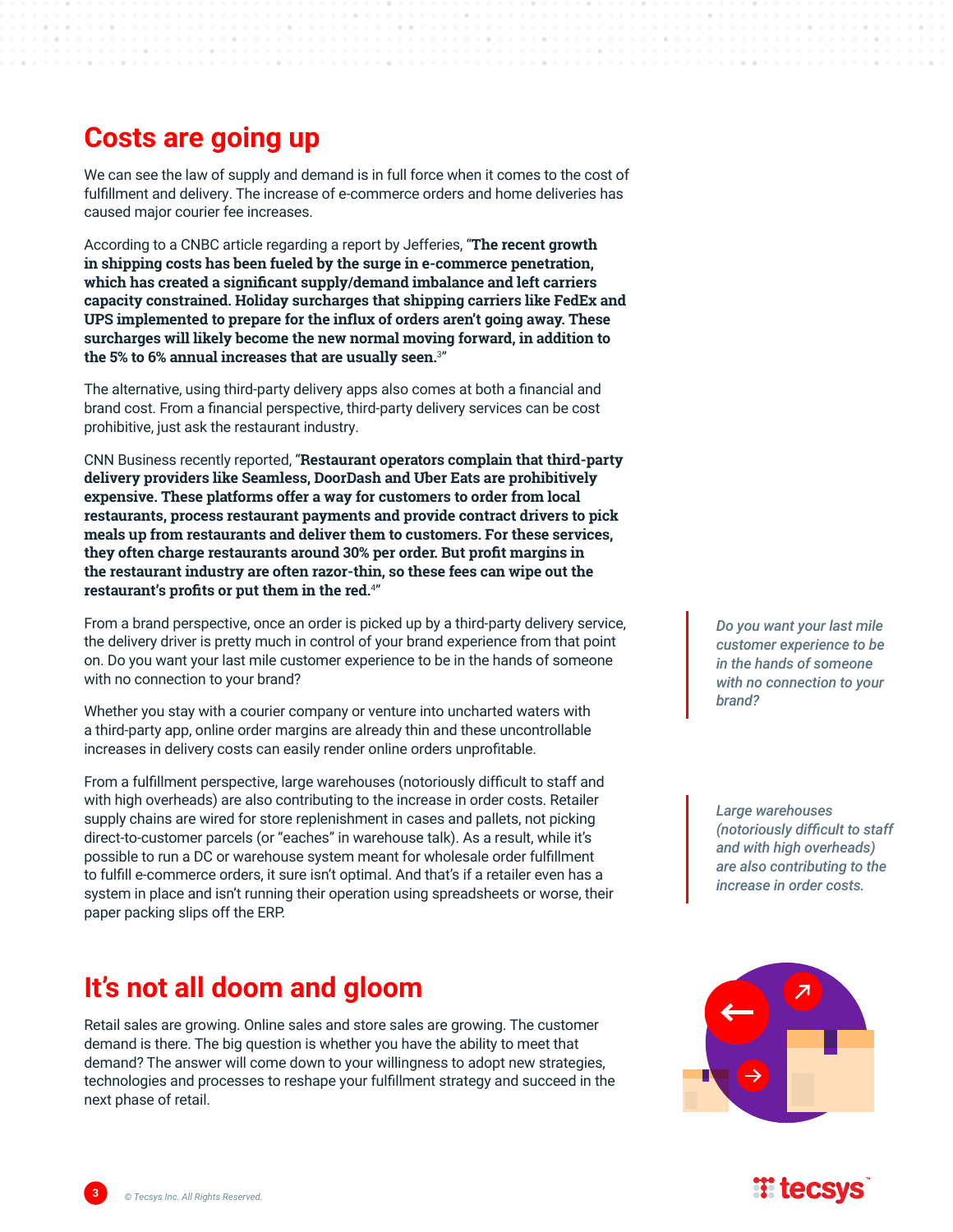### **Costs are going up**

We can see the law of supply and demand is in full force when it comes to the cost of fulfillment and delivery. The increase of e-commerce orders and home deliveries has caused major courier fee increases.

According to a CNBC article regarding a report by Jefferies, "**The recent growth in shipping costs has been fueled by the surge in e-commerce penetration, which has created a significant supply/demand imbalance and left carriers capacity constrained. Holiday surcharges that shipping carriers like FedEx and UPS implemented to prepare for the influx of orders aren't going away. These surcharges will likely become the new normal moving forward, in addition to the 5% to 6% annual increases that are usually seen.**<sup>3</sup> "

The alternative, using third-party delivery apps also comes at both a financial and brand cost. From a financial perspective, third-party delivery services can be cost prohibitive, just ask the restaurant industry.

CNN Business recently reported, "**Restaurant operators complain that third-party delivery providers like Seamless, DoorDash and Uber Eats are prohibitively expensive. These platforms offer a way for customers to order from local restaurants, process restaurant payments and provide contract drivers to pick meals up from restaurants and deliver them to customers. For these services, they often charge restaurants around 30% per order. But profit margins in the restaurant industry are often razor-thin, so these fees can wipe out the restaurant's profits or put them in the red.**<sup>4</sup> "

From a brand perspective, once an order is picked up by a third-party delivery service, the delivery driver is pretty much in control of your brand experience from that point on. Do you want your last mile customer experience to be in the hands of someone with no connection to your brand?

Whether you stay with a courier company or venture into uncharted waters with a third-party app, online order margins are already thin and these uncontrollable increases in delivery costs can easily render online orders unprofitable.

From a fulfillment perspective, large warehouses (notoriously difficult to staff and with high overheads) are also contributing to the increase in order costs. Retailer supply chains are wired for store replenishment in cases and pallets, not picking direct-to-customer parcels (or "eaches" in warehouse talk). As a result, while it's possible to run a DC or warehouse system meant for wholesale order fulfillment to fulfill e-commerce orders, it sure isn't optimal. And that's if a retailer even has a system in place and isn't running their operation using spreadsheets or worse, their paper packing slips off the ERP.

## **It's not all doom and gloom**

Retail sales are growing. Online sales and store sales are growing. The customer demand is there. The big question is whether you have the ability to meet that demand? The answer will come down to your willingness to adopt new strategies, technologies and processes to reshape your fulfillment strategy and succeed in the next phase of retail.

*Do you want your last mile customer experience to be in the hands of someone with no connection to your brand?*

*Large warehouses (notoriously difficult to staff and with high overheads) are also contributing to the increase in order costs.*



## $\mathbb{H}$  tecs

**3** *© Tecsys Inc. All Rights Reserved.*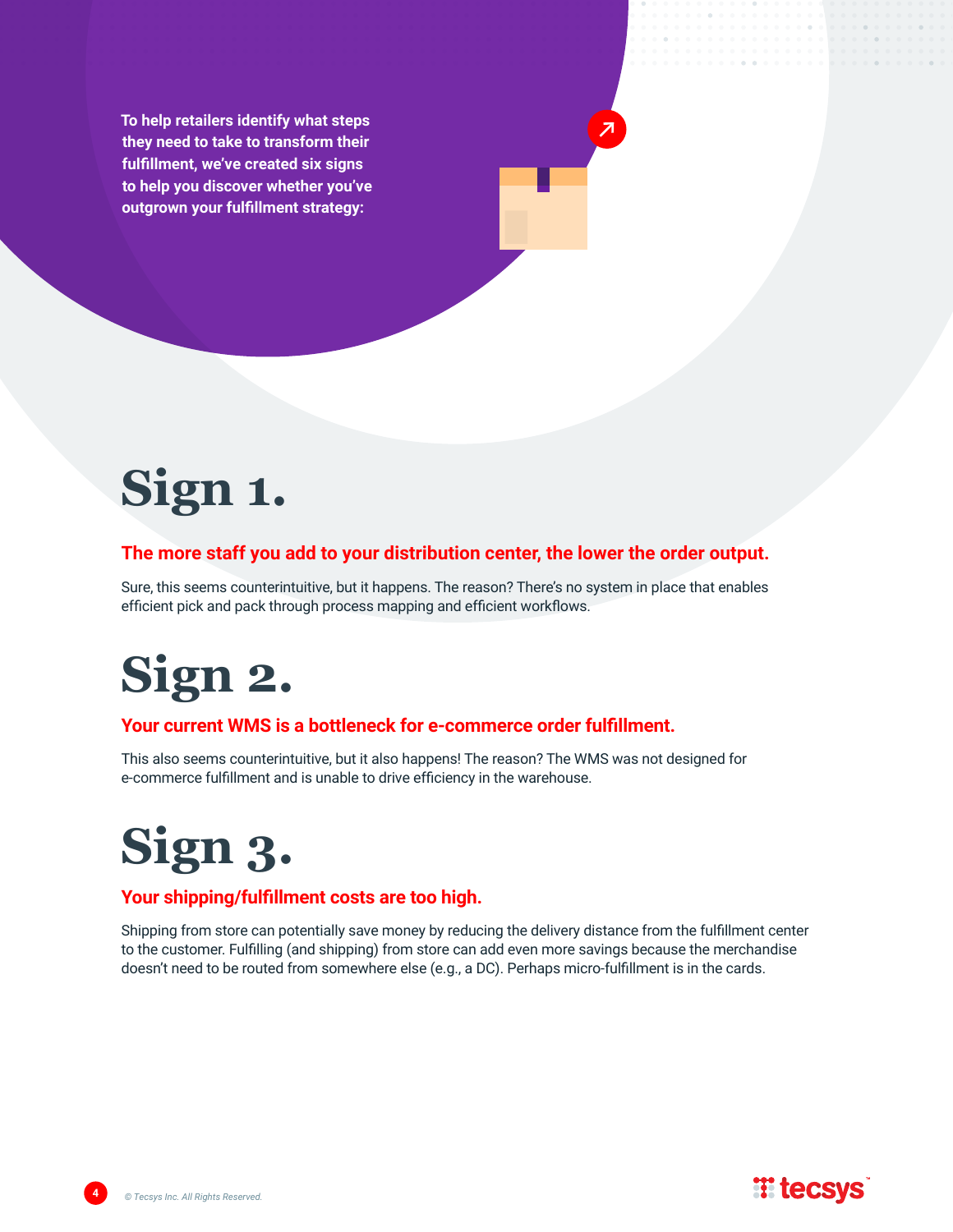**To help retailers identify what steps they need to take to transform their fulfillment, we've created six signs to help you discover whether you've outgrown your fulfillment strategy:**



#### **The more staff you add to your distribution center, the lower the order output.**

Sure, this seems counterintuitive, but it happens. The reason? There's no system in place that enables efficient pick and pack through process mapping and efficient workflows.

## **Sign 2.**

#### **Your current WMS is a bottleneck for e-commerce order fulfillment.**

This also seems counterintuitive, but it also happens! The reason? The WMS was not designed for e-commerce fulfillment and is unable to drive efficiency in the warehouse.



#### **Your shipping/fulfillment costs are too high.**

Shipping from store can potentially save money by reducing the delivery distance from the fulfillment center to the customer. Fulfilling (and shipping) from store can add even more savings because the merchandise doesn't need to be routed from somewhere else (e.g., a DC). Perhaps micro-fulfillment is in the cards.

**TE tecsys**